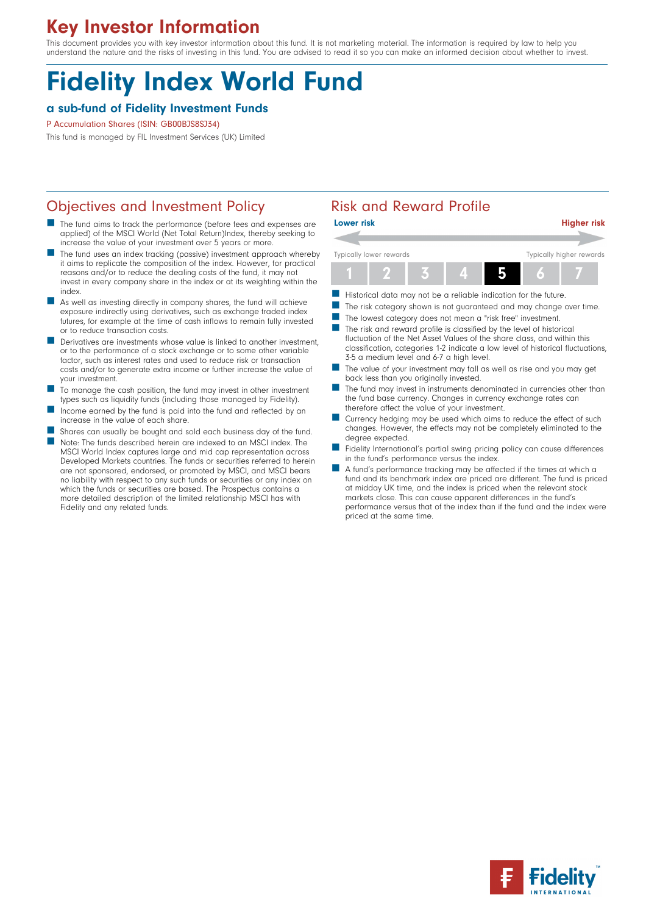# Key Investor Information

This document provides you with key investor information about this fund. It is not marketing material. The information is required by law to help you understand the nature and the risks of investing in this fund. You are advised to read it so you can make an informed decision about whether to invest.

# Fidelity Index World Fund

## a sub-fund of Fidelity Investment Funds

#### P Accumulation Shares (ISIN: GB00BJS8SJ34)

This fund is managed by FIL Investment Services (UK) Limited

## Objectives and Investment Policy **Risk and Reward Profile**

- The fund aims to track the performance (before fees and expenses are applied) of the MSCI World (Net Total Return)Index, thereby seeking to increase the value of your investment over 5 years or more.
- The fund uses an index tracking (passive) investment approach whereby it aims to replicate the composition of the index. However, for practical reasons and/or to reduce the dealing costs of the fund, it may not invest in every company share in the index or at its weighting within the index.
- As well as investing directly in company shares, the fund will achieve exposure indirectly using derivatives, such as exchange traded index futures, for example at the time of cash inflows to remain fully invested or to reduce transaction costs.
- $\blacksquare$  Derivatives are investments whose value is linked to another investment, or to the performance of a stock exchange or to some other variable factor, such as interest rates and used to reduce risk or transaction costs and/or to generate extra income or further increase the value of your investment.
- To manage the cash position, the fund may invest in other investment types such as liquidity funds (including those managed by Fidelity).
- Income earned by the fund is paid into the fund and reflected by an increase in the value of each share.
- Shares can usually be bought and sold each business day of the fund. n Note: The funds described herein are indexed to an MSCI index. The MSCI World Index captures large and mid cap representation across Developed Markets countries. The funds or securities referred to herein are not sponsored, endorsed, or promoted by MSCI, and MSCI bears no liability with respect to any such funds or securities or any index on which the funds or securities are based. The Prospectus contains a more detailed description of the limited relationship MSCI has with Fidelity and any related funds.



- Historical data may not be a reliable indication for the future.
- The risk category shown is not guaranteed and may change over time.
- The lowest category does not mean a "risk free" investment.
- $\blacksquare$  The risk and reward profile is classified by the level of historical fluctuation of the Net Asset Values of the share class, and within this classification, categories 1-2 indicate a low level of historical fluctuations, 3-5 a medium level and 6-7 a high level.
- The value of your investment may fall as well as rise and you may get back less than you originally invested.
- The fund may invest in instruments denominated in currencies other than the fund base currency. Changes in currency exchange rates can therefore affect the value of your investment.
- Currency hedging may be used which aims to reduce the effect of such changes. However, the effects may not be completely eliminated to the degree expected.
- Fidelity International's partial swing pricing policy can cause differences in the fund's performance versus the index.
- n A fund's performance tracking may be affected if the times at which a fund and its benchmark index are priced are different. The fund is priced at midday UK time, and the index is priced when the relevant stock markets close. This can cause apparent differences in the fund's performance versus that of the index than if the fund and the index were priced at the same time.